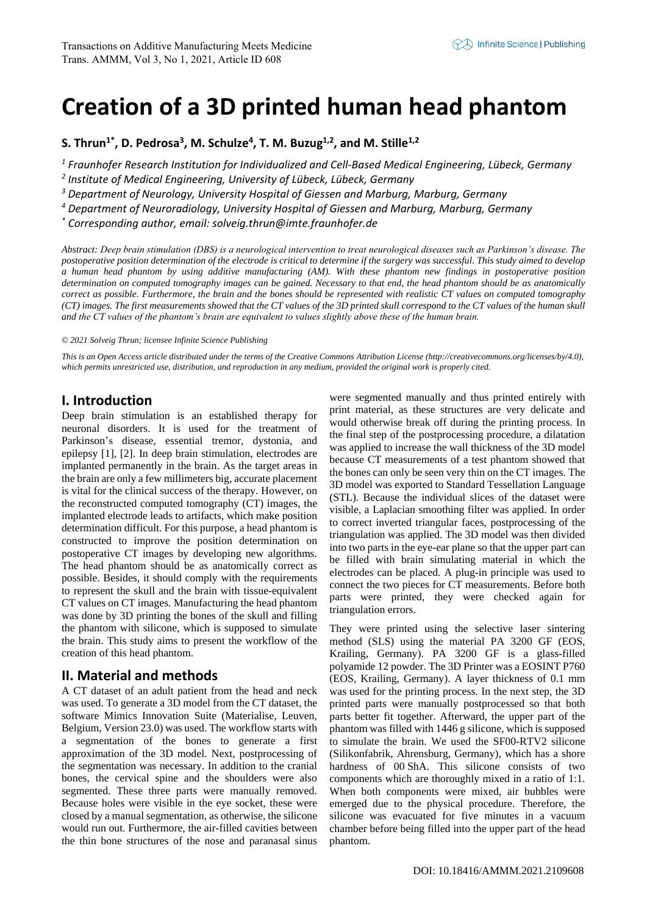# **Creation of a 3D printed human head phantom**

**S. Thrun1\* , D. Pedrosa<sup>3</sup> , M. Schulze<sup>4</sup> , T. M. Buzug1,2, and M. Stille1,2**

*1 Fraunhofer Research Institution for Individualized and Cell-Based Medical Engineering, Lübeck, Germany* 

*2 Institute of Medical Engineering, University of Lübeck, Lübeck, Germany* 

*<sup>3</sup> Department of Neurology, University Hospital of Giessen and Marburg, Marburg, Germany*

*<sup>4</sup> Department of Neuroradiology, University Hospital of Giessen and Marburg, Marburg, Germany*

*\* Corresponding author, email: solveig.thrun@imte.fraunhofer.de*

*Abstract: Deep brain stimulation (DBS) is a neurological intervention to treat neurological diseases such as Parkinson's disease. The postoperative position determination of the electrode is critical to determine if the surgery was successful. This study aimed to develop a human head phantom by using additive manufacturing (AM). With these phantom new findings in postoperative position determination on computed tomography images can be gained. Necessary to that end, the head phantom should be as anatomically correct as possible. Furthermore, the brain and the bones should be represented with realistic CT values on computed tomography (CT) images. The first measurements showed that the CT values of the 3D printed skull correspond to the CT values of the human skull and the CT values of the phantom's brain are equivalent to values slightly above these of the human brain.*

#### *© 2021 Solveig Thrun; licensee Infinite Science Publishing*

*This is an Open Access article distributed under the terms of the Creative Commons Attribution License (http://creativecommons.org/licenses/by/4.0),*  which permits unrestricted use, distribution, and reproduction in any medium, provided the original work is properly cited.

## **I. Introduction**

Deep brain stimulation is an established therapy for neuronal disorders. It is used for the treatment of Parkinson's disease, essential tremor, dystonia, and epilepsy [1], [2]. In deep brain stimulation, electrodes are implanted permanently in the brain. As the target areas in the brain are only a few millimeters big, accurate placement is vital for the clinical success of the therapy. However, on the reconstructed computed tomography (CT) images, the implanted electrode leads to artifacts, which make position determination difficult. For this purpose, a head phantom is constructed to improve the position determination on postoperative CT images by developing new algorithms. The head phantom should be as anatomically correct as possible. Besides, it should comply with the requirements to represent the skull and the brain with tissue-equivalent CT values on CT images. Manufacturing the head phantom was done by 3D printing the bones of the skull and filling the phantom with silicone, which is supposed to simulate the brain. This study aims to present the workflow of the creation of this head phantom.

## **II. Material and methods**

A CT dataset of an adult patient from the head and neck was used. To generate a 3D model from the CT dataset, the software Mimics Innovation Suite (Materialise, Leuven, Belgium, Version 23.0) was used. The workflow starts with a segmentation of the bones to generate a first approximation of the 3D model. Next, postprocessing of the segmentation was necessary. In addition to the cranial bones, the cervical spine and the shoulders were also segmented. These three parts were manually removed. Because holes were visible in the eye socket, these were closed by a manual segmentation, as otherwise, the silicone would run out. Furthermore, the air-filled cavities between the thin bone structures of the nose and paranasal sinus

were segmented manually and thus printed entirely with print material, as these structures are very delicate and would otherwise break off during the printing process. In the final step of the postprocessing procedure, a dilatation was applied to increase the wall thickness of the 3D model because CT measurements of a test phantom showed that the bones can only be seen very thin on the CT images. The 3D model was exported to Standard Tessellation Language (STL). Because the individual slices of the dataset were visible, a Laplacian smoothing filter was applied. In order to correct inverted triangular faces, postprocessing of the triangulation was applied. The 3D model was then divided into two parts in the eye-ear plane so that the upper part can be filled with brain simulating material in which the electrodes can be placed. A plug-in principle was used to connect the two pieces for CT measurements. Before both parts were printed, they were checked again for triangulation errors.

They were printed using the selective laser sintering method (SLS) using the material PA 3200 GF (EOS, Krailing, Germany). PA 3200 GF is a glass-filled polyamide 12 powder. The 3D Printer was a EOSINT P760 (EOS, Krailing, Germany). A layer thickness of 0.1 mm was used for the printing process. In the next step, the 3D printed parts were manually postprocessed so that both parts better fit together. Afterward, the upper part of the phantom was filled with 1446 g silicone, which is supposed to simulate the brain. We used the SF00-RTV2 silicone (Silikonfabrik, Ahrensburg, Germany), which has a shore hardness of 00 ShA. This silicone consists of two components which are thoroughly mixed in a ratio of 1:1. When both components were mixed, air bubbles were emerged due to the physical procedure. Therefore, the silicone was evacuated for five minutes in a vacuum chamber before being filled into the upper part of the head phantom.